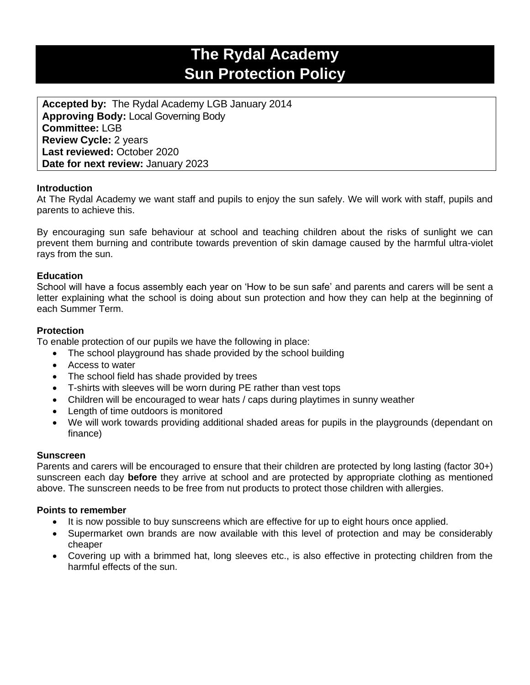# **The Rydal Academy Sun Protection Policy**

**Accepted by:** The Rydal Academy LGB January 2014 **Approving Body:** Local Governing Body **Committee:** LGB **Review Cycle:** 2 years **Last reviewed:** October 2020 **Date for next review:** January 2023

# **Introduction**

At The Rydal Academy we want staff and pupils to enjoy the sun safely. We will work with staff, pupils and parents to achieve this.

By encouraging sun safe behaviour at school and teaching children about the risks of sunlight we can prevent them burning and contribute towards prevention of skin damage caused by the harmful ultra-violet rays from the sun.

## **Education**

School will have a focus assembly each year on 'How to be sun safe' and parents and carers will be sent a letter explaining what the school is doing about sun protection and how they can help at the beginning of each Summer Term.

## **Protection**

To enable protection of our pupils we have the following in place:

- The school playground has shade provided by the school building
- Access to water
- The school field has shade provided by trees
- T-shirts with sleeves will be worn during PE rather than vest tops
- Children will be encouraged to wear hats / caps during playtimes in sunny weather
- Length of time outdoors is monitored
- We will work towards providing additional shaded areas for pupils in the playgrounds (dependant on finance)

#### **Sunscreen**

Parents and carers will be encouraged to ensure that their children are protected by long lasting (factor 30+) sunscreen each day **before** they arrive at school and are protected by appropriate clothing as mentioned above. The sunscreen needs to be free from nut products to protect those children with allergies.

#### **Points to remember**

- It is now possible to buy sunscreens which are effective for up to eight hours once applied.
- Supermarket own brands are now available with this level of protection and may be considerably cheaper
- Covering up with a brimmed hat, long sleeves etc., is also effective in protecting children from the harmful effects of the sun.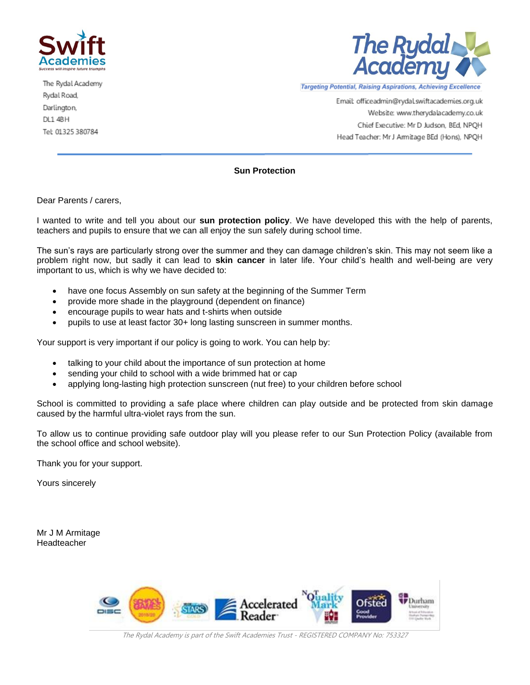

The Rydal Academy Rydal Road, Darlington, DL1 4BH Tel: 01325 380784



Targeting Potential, Raising Aspirations, Achieving Excellence

Email: officeadmin@rydal.swiftacademies.org.uk Website: www.therydalacademy.co.uk Chief Executive: Mr D Judson, BEd, NPQH Head Teacher: Mr J Armitage BEd (Hons), NPQH

#### **Sun Protection**

Dear Parents / carers,

I wanted to write and tell you about our **sun protection policy**. We have developed this with the help of parents, teachers and pupils to ensure that we can all enjoy the sun safely during school time.

The sun's rays are particularly strong over the summer and they can damage children's skin. This may not seem like a problem right now, but sadly it can lead to **skin cancer** in later life. Your child's health and well-being are very important to us, which is why we have decided to:

- have one focus Assembly on sun safety at the beginning of the Summer Term
- provide more shade in the playground (dependent on finance)
- encourage pupils to wear hats and t-shirts when outside
- pupils to use at least factor 30+ long lasting sunscreen in summer months.

Your support is very important if our policy is going to work. You can help by:

- talking to your child about the importance of sun protection at home
- sending your child to school with a wide brimmed hat or cap
- applying long-lasting high protection sunscreen (nut free) to your children before school

School is committed to providing a safe place where children can play outside and be protected from skin damage caused by the harmful ultra-violet rays from the sun.

To allow us to continue providing safe outdoor play will you please refer to our Sun Protection Policy (available from the school office and school website).

Thank you for your support.

Yours sincerely

Mr J M Armitage Headteacher



The Rydal Academy is part of the Swift Academies Trust - REGISTERED COMPANY No: 753327